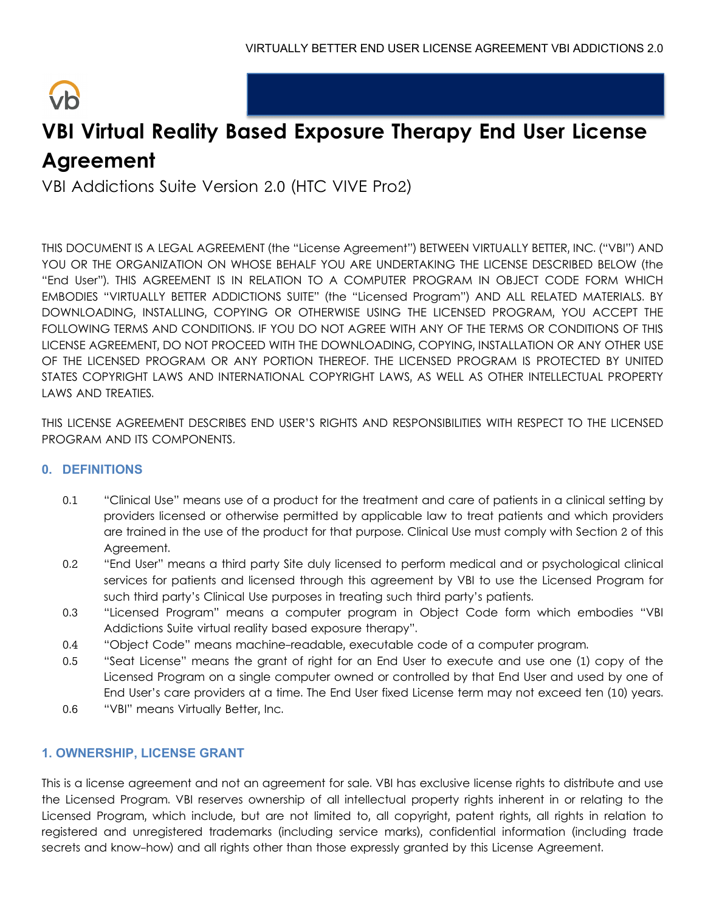# $\sqrt{h}$

# **VBI Virtual Reality Based Exposure Therapy End User License Agreement**

VBI Addictions Suite Version 2.0 (HTC VIVE Pro2)

THIS DOCUMENT IS A LEGAL AGREEMENT (the "License Agreement") BETWEEN VIRTUALLY BETTER, INC. ("VBI") AND YOU OR THE ORGANIZATION ON WHOSE BEHALF YOU ARE UNDERTAKING THE LICENSE DESCRIBED BELOW (the "End User"). THIS AGREEMENT IS IN RELATION TO A COMPUTER PROGRAM IN OBJECT CODE FORM WHICH EMBODIES "VIRTUALLY BETTER ADDICTIONS SUITE" (the "Licensed Program") AND ALL RELATED MATERIALS. BY DOWNLOADING, INSTALLING, COPYING OR OTHERWISE USING THE LICENSED PROGRAM, YOU ACCEPT THE FOLLOWING TERMS AND CONDITIONS. IF YOU DO NOT AGREE WITH ANY OF THE TERMS OR CONDITIONS OF THIS LICENSE AGREEMENT, DO NOT PROCEED WITH THE DOWNLOADING, COPYING, INSTALLATION OR ANY OTHER USE OF THE LICENSED PROGRAM OR ANY PORTION THEREOF. THE LICENSED PROGRAM IS PROTECTED BY UNITED STATES COPYRIGHT LAWS AND INTERNATIONAL COPYRIGHT LAWS, AS WELL AS OTHER INTELLECTUAL PROPERTY LAWS AND TREATIES.

THIS LICENSE AGREEMENT DESCRIBES END USER'S RIGHTS AND RESPONSIBILITIES WITH RESPECT TO THE LICENSED PROGRAM AND ITS COMPONENTS.

## **0. DEFINITIONS**

- 0.1 "Clinical Use" means use of a product for the treatment and care of patients in a clinical setting by providers licensed or otherwise permitted by applicable law to treat patients and which providers are trained in the use of the product for that purpose. Clinical Use must comply with Section 2 of this Agreement.
- 0.2 "End User" means a third party Site duly licensed to perform medical and or psychological clinical services for patients and licensed through this agreement by VBI to use the Licensed Program for such third party's Clinical Use purposes in treating such third party's patients.
- 0.3 "Licensed Program" means a computer program in Object Code form which embodies "VBI Addictions Suite virtual reality based exposure therapy".
- 0.4 "Object Code" means machine-readable, executable code of a computer program.
- 0.5 "Seat License" means the grant of right for an End User to execute and use one (1) copy of the Licensed Program on a single computer owned or controlled by that End User and used by one of End User's care providers at a time. The End User fixed License term may not exceed ten (10) years.
- 0.6 "VBI" means Virtually Better, Inc.

## **1. OWNERSHIP, LICENSE GRANT**

This is a license agreement and not an agreement for sale. VBI has exclusive license rights to distribute and use the Licensed Program. VBI reserves ownership of all intellectual property rights inherent in or relating to the Licensed Program, which include, but are not limited to, all copyright, patent rights, all rights in relation to registered and unregistered trademarks (including service marks), confidential information (including trade secrets and know-how) and all rights other than those expressly granted by this License Agreement.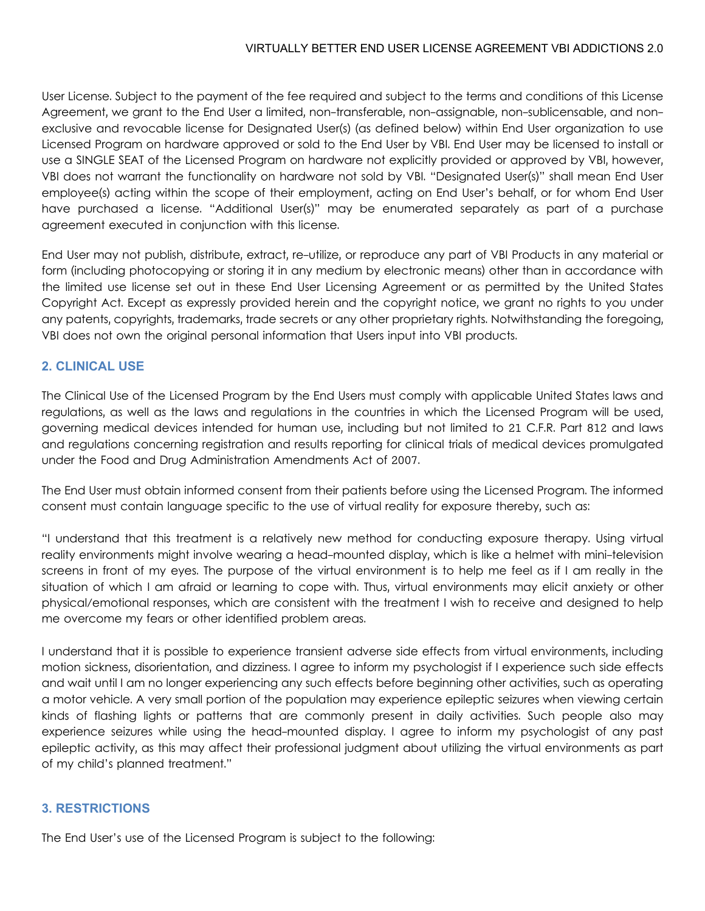User License. Subject to the payment of the fee required and subject to the terms and conditions of this License Agreement, we grant to the End User a limited, non-transferable, non-assignable, non-sublicensable, and nonexclusive and revocable license for Designated User(s) (as defined below) within End User organization to use Licensed Program on hardware approved or sold to the End User by VBI. End User may be licensed to install or use a SINGLE SEAT of the Licensed Program on hardware not explicitly provided or approved by VBI, however, VBI does not warrant the functionality on hardware not sold by VBI. "Designated User(s)" shall mean End User employee(s) acting within the scope of their employment, acting on End User's behalf, or for whom End User have purchased a license. "Additional User(s)" may be enumerated separately as part of a purchase agreement executed in conjunction with this license.

End User may not publish, distribute, extract, re-utilize, or reproduce any part of VBI Products in any material or form (including photocopying or storing it in any medium by electronic means) other than in accordance with the limited use license set out in these End User Licensing Agreement or as permitted by the United States Copyright Act. Except as expressly provided herein and the copyright notice, we grant no rights to you under any patents, copyrights, trademarks, trade secrets or any other proprietary rights. Notwithstanding the foregoing, VBI does not own the original personal information that Users input into VBI products.

#### **2. CLINICAL USE**

The Clinical Use of the Licensed Program by the End Users must comply with applicable United States laws and regulations, as well as the laws and regulations in the countries in which the Licensed Program will be used, governing medical devices intended for human use, including but not limited to 21 C.F.R. Part 812 and laws and regulations concerning registration and results reporting for clinical trials of medical devices promulgated under the Food and Drug Administration Amendments Act of 2007.

The End User must obtain informed consent from their patients before using the Licensed Program. The informed consent must contain language specific to the use of virtual reality for exposure thereby, such as:

"I understand that this treatment is a relatively new method for conducting exposure therapy. Using virtual reality environments might involve wearing a head-mounted display, which is like a helmet with mini-television screens in front of my eyes. The purpose of the virtual environment is to help me feel as if I am really in the situation of which I am afraid or learning to cope with. Thus, virtual environments may elicit anxiety or other physical/emotional responses, which are consistent with the treatment I wish to receive and designed to help me overcome my fears or other identified problem areas.

I understand that it is possible to experience transient adverse side effects from virtual environments, including motion sickness, disorientation, and dizziness. I agree to inform my psychologist if I experience such side effects and wait until I am no longer experiencing any such effects before beginning other activities, such as operating a motor vehicle. A very small portion of the population may experience epileptic seizures when viewing certain kinds of flashing lights or patterns that are commonly present in daily activities. Such people also may experience seizures while using the head-mounted display. I agree to inform my psychologist of any past epileptic activity, as this may affect their professional judgment about utilizing the virtual environments as part of my child's planned treatment."

#### **3. RESTRICTIONS**

The End User's use of the Licensed Program is subject to the following: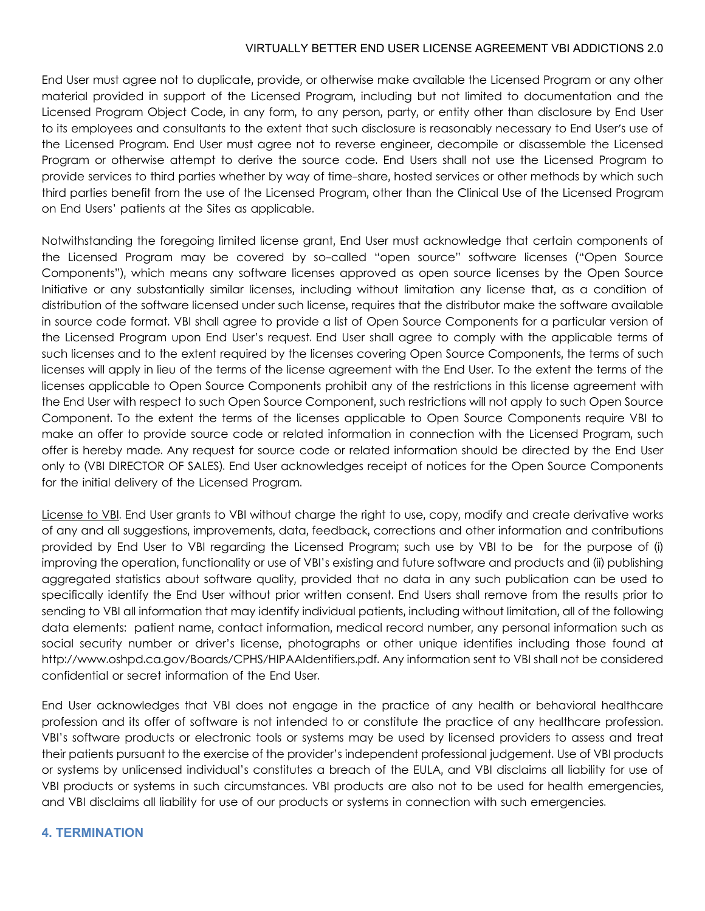End User must agree not to duplicate, provide, or otherwise make available the Licensed Program or any other material provided in support of the Licensed Program, including but not limited to documentation and the Licensed Program Object Code, in any form, to any person, party, or entity other than disclosure by End User to its employees and consultants to the extent that such disclosure is reasonably necessary to End User's use of the Licensed Program. End User must agree not to reverse engineer, decompile or disassemble the Licensed Program or otherwise attempt to derive the source code. End Users shall not use the Licensed Program to provide services to third parties whether by way of time-share, hosted services or other methods by which such third parties benefit from the use of the Licensed Program, other than the Clinical Use of the Licensed Program on End Users' patients at the Sites as applicable.

Notwithstanding the foregoing limited license grant, End User must acknowledge that certain components of the Licensed Program may be covered by so-called "open source" software licenses ("Open Source Components"), which means any software licenses approved as open source licenses by the Open Source Initiative or any substantially similar licenses, including without limitation any license that, as a condition of distribution of the software licensed under such license, requires that the distributor make the software available in source code format. VBI shall agree to provide a list of Open Source Components for a particular version of the Licensed Program upon End User's request. End User shall agree to comply with the applicable terms of such licenses and to the extent required by the licenses covering Open Source Components, the terms of such licenses will apply in lieu of the terms of the license agreement with the End User. To the extent the terms of the licenses applicable to Open Source Components prohibit any of the restrictions in this license agreement with the End User with respect to such Open Source Component, such restrictions will not apply to such Open Source Component. To the extent the terms of the licenses applicable to Open Source Components require VBI to make an offer to provide source code or related information in connection with the Licensed Program, such offer is hereby made. Any request for source code or related information should be directed by the End User only to (VBI DIRECTOR OF SALES). End User acknowledges receipt of notices for the Open Source Components for the initial delivery of the Licensed Program.

License to VBI. End User grants to VBI without charge the right to use, copy, modify and create derivative works of any and all suggestions, improvements, data, feedback, corrections and other information and contributions provided by End User to VBI regarding the Licensed Program; such use by VBI to be for the purpose of (i) improving the operation, functionality or use of VBI's existing and future software and products and (ii) publishing aggregated statistics about software quality, provided that no data in any such publication can be used to specifically identify the End User without prior written consent. End Users shall remove from the results prior to sending to VBI all information that may identify individual patients, including without limitation, all of the following data elements: patient name, contact information, medical record number, any personal information such as social security number or driver's license, photographs or other unique identifies including those found at http://www.oshpd.ca.gov/Boards/CPHS/HIPAAIdentifiers.pdf. Any information sent to VBI shall not be considered confidential or secret information of the End User.

End User acknowledges that VBI does not engage in the practice of any health or behavioral healthcare profession and its offer of software is not intended to or constitute the practice of any healthcare profession. VBI's software products or electronic tools or systems may be used by licensed providers to assess and treat their patients pursuant to the exercise of the provider's independent professional judgement. Use of VBI products or systems by unlicensed individual's constitutes a breach of the EULA, and VBI disclaims all liability for use of VBI products or systems in such circumstances. VBI products are also not to be used for health emergencies, and VBI disclaims all liability for use of our products or systems in connection with such emergencies.

#### **4. TERMINATION**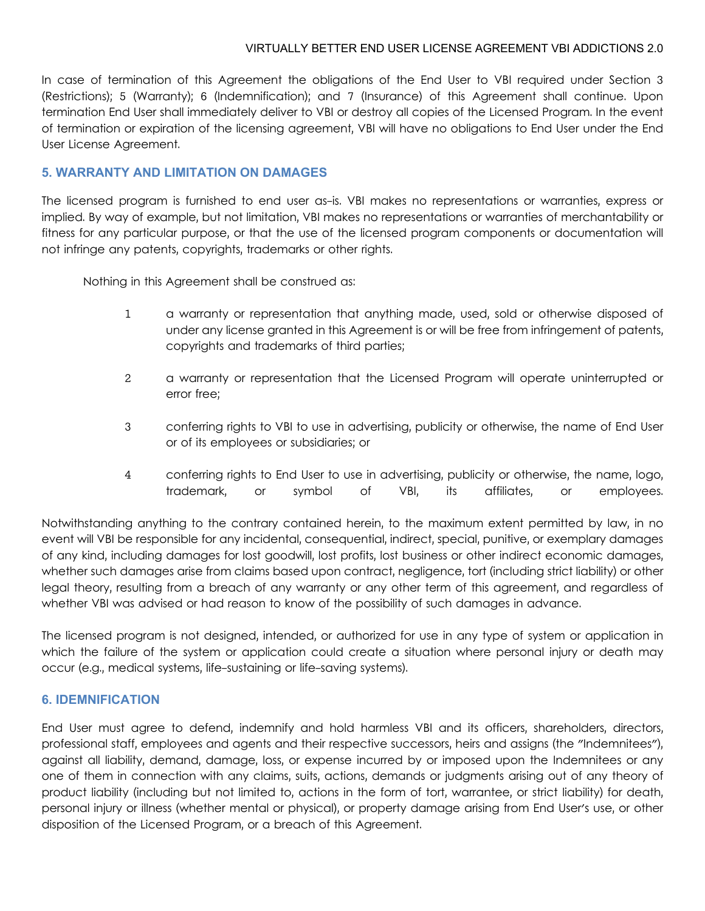In case of termination of this Agreement the obligations of the End User to VBI required under Section 3 (Restrictions); 5 (Warranty); 6 (Indemnification); and 7 (Insurance) of this Agreement shall continue. Upon termination End User shall immediately deliver to VBI or destroy all copies of the Licensed Program. In the event of termination or expiration of the licensing agreement, VBI will have no obligations to End User under the End User License Agreement.

#### **5. WARRANTY AND LIMITATION ON DAMAGES**

The licensed program is furnished to end user as-is. VBI makes no representations or warranties, express or implied. By way of example, but not limitation, VBI makes no representations or warranties of merchantability or fitness for any particular purpose, or that the use of the licensed program components or documentation will not infringe any patents, copyrights, trademarks or other rights.

Nothing in this Agreement shall be construed as:

- 1 a warranty or representation that anything made, used, sold or otherwise disposed of under any license granted in this Agreement is or will be free from infringement of patents, copyrights and trademarks of third parties;
- 2 a warranty or representation that the Licensed Program will operate uninterrupted or error free;
- 3 conferring rights to VBI to use in advertising, publicity or otherwise, the name of End User or of its employees or subsidiaries; or
- 4 conferring rights to End User to use in advertising, publicity or otherwise, the name, logo, trademark, or symbol of VBI, its affiliates, or employees.

Notwithstanding anything to the contrary contained herein, to the maximum extent permitted by law, in no event will VBI be responsible for any incidental, consequential, indirect, special, punitive, or exemplary damages of any kind, including damages for lost goodwill, lost profits, lost business or other indirect economic damages, whether such damages arise from claims based upon contract, negligence, tort (including strict liability) or other legal theory, resulting from a breach of any warranty or any other term of this agreement, and regardless of whether VBI was advised or had reason to know of the possibility of such damages in advance.

The licensed program is not designed, intended, or authorized for use in any type of system or application in which the failure of the system or application could create a situation where personal injury or death may occur (e.g., medical systems, life-sustaining or life-saving systems).

#### **6. IDEMNIFICATION**

End User must agree to defend, indemnify and hold harmless VBI and its officers, shareholders, directors, professional staff, employees and agents and their respective successors, heirs and assigns (the "Indemnitees"), against all liability, demand, damage, loss, or expense incurred by or imposed upon the Indemnitees or any one of them in connection with any claims, suits, actions, demands or judgments arising out of any theory of product liability (including but not limited to, actions in the form of tort, warrantee, or strict liability) for death, personal injury or illness (whether mental or physical), or property damage arising from End User's use, or other disposition of the Licensed Program, or a breach of this Agreement.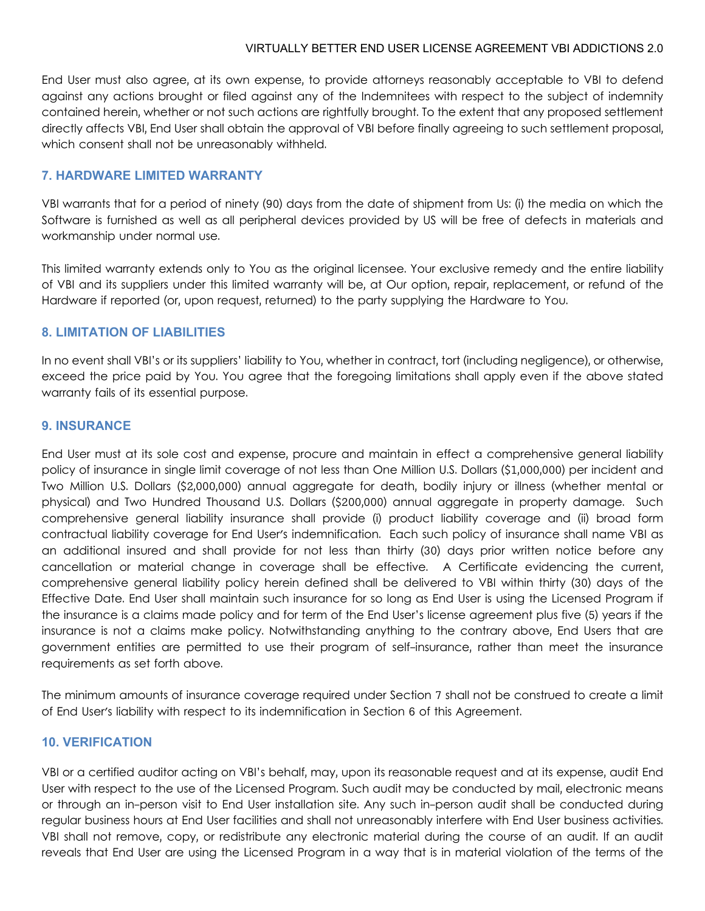End User must also agree, at its own expense, to provide attorneys reasonably acceptable to VBI to defend against any actions brought or filed against any of the Indemnitees with respect to the subject of indemnity contained herein, whether or not such actions are rightfully brought. To the extent that any proposed settlement directly affects VBI, End User shall obtain the approval of VBI before finally agreeing to such settlement proposal, which consent shall not be unreasonably withheld.

#### **7. HARDWARE LIMITED WARRANTY**

VBI warrants that for a period of ninety (90) days from the date of shipment from Us: (i) the media on which the Software is furnished as well as all peripheral devices provided by US will be free of defects in materials and workmanship under normal use.

This limited warranty extends only to You as the original licensee. Your exclusive remedy and the entire liability of VBI and its suppliers under this limited warranty will be, at Our option, repair, replacement, or refund of the Hardware if reported (or, upon request, returned) to the party supplying the Hardware to You.

#### **8. LIMITATION OF LIABILITIES**

In no event shall VBI's or its suppliers' liability to You, whether in contract, tort (including negligence), or otherwise, exceed the price paid by You. You agree that the foregoing limitations shall apply even if the above stated warranty fails of its essential purpose.

#### **9. INSURANCE**

End User must at its sole cost and expense, procure and maintain in effect a comprehensive general liability policy of insurance in single limit coverage of not less than One Million U.S. Dollars (\$1,000,000) per incident and Two Million U.S. Dollars (\$2,000,000) annual aggregate for death, bodily injury or illness (whether mental or physical) and Two Hundred Thousand U.S. Dollars (\$200,000) annual aggregate in property damage. Such comprehensive general liability insurance shall provide (i) product liability coverage and (ii) broad form contractual liability coverage for End User's indemnification. Each such policy of insurance shall name VBI as an additional insured and shall provide for not less than thirty (30) days prior written notice before any cancellation or material change in coverage shall be effective. A Certificate evidencing the current, comprehensive general liability policy herein defined shall be delivered to VBI within thirty (30) days of the Effective Date. End User shall maintain such insurance for so long as End User is using the Licensed Program if the insurance is a claims made policy and for term of the End User's license agreement plus five (5) years if the insurance is not a claims make policy. Notwithstanding anything to the contrary above, End Users that are government entities are permitted to use their program of self-insurance, rather than meet the insurance requirements as set forth above.

The minimum amounts of insurance coverage required under Section 7 shall not be construed to create a limit of End User's liability with respect to its indemnification in Section 6 of this Agreement.

#### **10. VERIFICATION**

VBI or a certified auditor acting on VBI's behalf, may, upon its reasonable request and at its expense, audit End User with respect to the use of the Licensed Program. Such audit may be conducted by mail, electronic means or through an in-person visit to End User installation site. Any such in-person audit shall be conducted during regular business hours at End User facilities and shall not unreasonably interfere with End User business activities. VBI shall not remove, copy, or redistribute any electronic material during the course of an audit. If an audit reveals that End User are using the Licensed Program in a way that is in material violation of the terms of the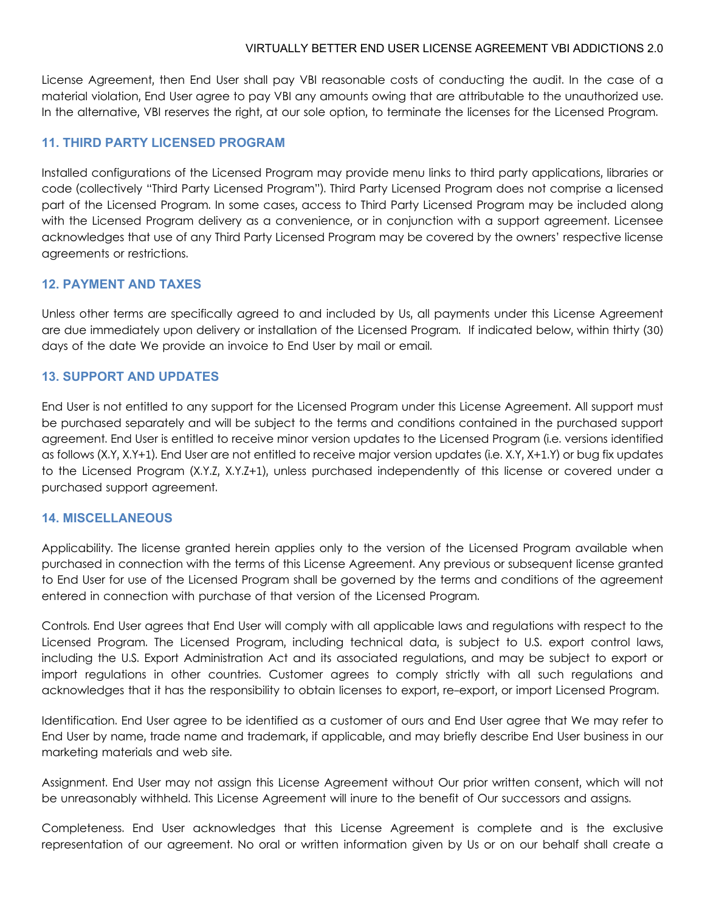License Agreement, then End User shall pay VBI reasonable costs of conducting the audit. In the case of a material violation, End User agree to pay VBI any amounts owing that are attributable to the unauthorized use. In the alternative, VBI reserves the right, at our sole option, to terminate the licenses for the Licensed Program.

#### **11. THIRD PARTY LICENSED PROGRAM**

Installed configurations of the Licensed Program may provide menu links to third party applications, libraries or code (collectively "Third Party Licensed Program"). Third Party Licensed Program does not comprise a licensed part of the Licensed Program. In some cases, access to Third Party Licensed Program may be included along with the Licensed Program delivery as a convenience, or in conjunction with a support agreement. Licensee acknowledges that use of any Third Party Licensed Program may be covered by the owners' respective license agreements or restrictions.

#### **12. PAYMENT AND TAXES**

Unless other terms are specifically agreed to and included by Us, all payments under this License Agreement are due immediately upon delivery or installation of the Licensed Program. If indicated below, within thirty (30) days of the date We provide an invoice to End User by mail or email.

#### **13. SUPPORT AND UPDATES**

End User is not entitled to any support for the Licensed Program under this License Agreement. All support must be purchased separately and will be subject to the terms and conditions contained in the purchased support agreement. End User is entitled to receive minor version updates to the Licensed Program (i.e. versions identified as follows (X.Y, X.Y+1). End User are not entitled to receive major version updates (i.e. X.Y, X+1.Y) or bug fix updates to the Licensed Program (X.Y.Z, X.Y.Z+1), unless purchased independently of this license or covered under a purchased support agreement.

#### **14. MISCELLANEOUS**

Applicability. The license granted herein applies only to the version of the Licensed Program available when purchased in connection with the terms of this License Agreement. Any previous or subsequent license granted to End User for use of the Licensed Program shall be governed by the terms and conditions of the agreement entered in connection with purchase of that version of the Licensed Program.

Controls. End User agrees that End User will comply with all applicable laws and regulations with respect to the Licensed Program. The Licensed Program, including technical data, is subject to U.S. export control laws, including the U.S. Export Administration Act and its associated regulations, and may be subject to export or import regulations in other countries. Customer agrees to comply strictly with all such regulations and acknowledges that it has the responsibility to obtain licenses to export, re-export, or import Licensed Program.

Identification. End User agree to be identified as a customer of ours and End User agree that We may refer to End User by name, trade name and trademark, if applicable, and may briefly describe End User business in our marketing materials and web site.

Assignment. End User may not assign this License Agreement without Our prior written consent, which will not be unreasonably withheld. This License Agreement will inure to the benefit of Our successors and assigns.

Completeness. End User acknowledges that this License Agreement is complete and is the exclusive representation of our agreement. No oral or written information given by Us or on our behalf shall create a